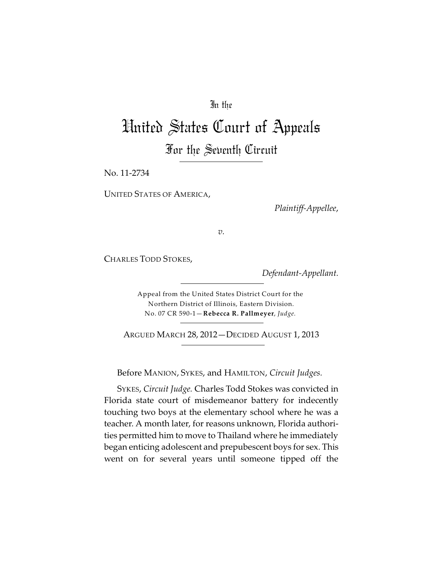## In the

# United States Court of Appeals For the Seventh Circuit

No. 11-2734

UNITED STATES OF AMERICA,

*Plaintiff-Appellee*,

*v.*

CHARLES TODD STOKES,

*Defendant-Appellant.*

Appeal from the United States District Court for the Northern District of Illinois, Eastern Division. No. 07 CR 590-1—**Rebecca R. Pallmeyer**, *Judge.*

ARGUED MARCH 28, 2012—DECIDED AUGUST 1, 2013

Before MANION, SYKES, and HAMILTON, *Circuit Judges.*

SYKES, *Circuit Judge.* Charles Todd Stokes was convicted in Florida state court of misdemeanor battery for indecently touching two boys at the elementary school where he was a teacher. A month later, for reasons unknown, Florida authorities permitted him to move to Thailand where he immediately began enticing adolescent and prepubescent boys for sex. This went on for several years until someone tipped off the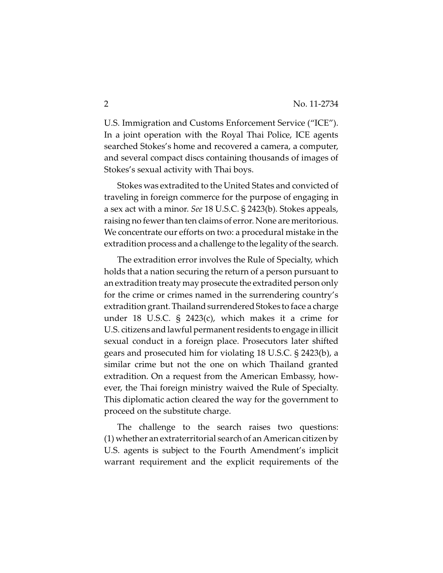U.S. Immigration and Customs Enforcement Service ("ICE"). In a joint operation with the Royal Thai Police, ICE agents searched Stokes's home and recovered a camera, a computer, and several compact discs containing thousands of images of Stokes's sexual activity with Thai boys.

Stokes was extradited to the United States and convicted of traveling in foreign commerce for the purpose of engaging in a sex act with a minor. *See* 18 U.S.C. § 2423(b). Stokes appeals, raising no fewer than ten claims of error. None are meritorious. We concentrate our efforts on two: a procedural mistake in the extradition process and a challenge to the legality of the search.

The extradition error involves the Rule of Specialty, which holds that a nation securing the return of a person pursuant to an extradition treaty may prosecute the extradited person only for the crime or crimes named in the surrendering country's extradition grant. Thailand surrendered Stokes to face a charge under 18 U.S.C. § 2423(c), which makes it a crime for U.S. citizens and lawful permanent residents to engage in illicit sexual conduct in a foreign place. Prosecutors later shifted gears and prosecuted him for violating 18 U.S.C. § 2423(b), a similar crime but not the one on which Thailand granted extradition. On a request from the American Embassy, however, the Thai foreign ministry waived the Rule of Specialty. This diplomatic action cleared the way for the government to proceed on the substitute charge.

The challenge to the search raises two questions: (1) whether an extraterritorial search of an American citizen by U.S. agents is subject to the Fourth Amendment's implicit warrant requirement and the explicit requirements of the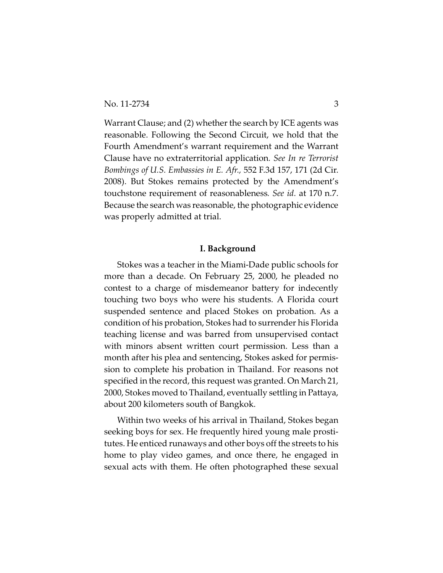Warrant Clause; and (2) whether the search by ICE agents was reasonable. Following the Second Circuit, we hold that the Fourth Amendment's warrant requirement and the Warrant Clause have no extraterritorial application*. See In re Terrorist Bombings of U.S. Embassies in E. Afr.,* 552 F.3d 157, 171 (2d Cir. 2008). But Stokes remains protected by the Amendment's touchstone requirement of reasonableness*. See id.* at 170 n.7. Because the search was reasonable, the photographic evidence was properly admitted at trial.

## **I. Background**

Stokes was a teacher in the Miami-Dade public schools for more than a decade. On February 25, 2000, he pleaded no contest to a charge of misdemeanor battery for indecently touching two boys who were his students. A Florida court suspended sentence and placed Stokes on probation. As a condition of his probation, Stokes had to surrender his Florida teaching license and was barred from unsupervised contact with minors absent written court permission. Less than a month after his plea and sentencing, Stokes asked for permission to complete his probation in Thailand. For reasons not specified in the record, this request was granted. On March 21, 2000, Stokes moved to Thailand, eventually settling in Pattaya, about 200 kilometers south of Bangkok.

Within two weeks of his arrival in Thailand, Stokes began seeking boys for sex. He frequently hired young male prostitutes. He enticed runaways and other boys off the streets to his home to play video games, and once there, he engaged in sexual acts with them. He often photographed these sexual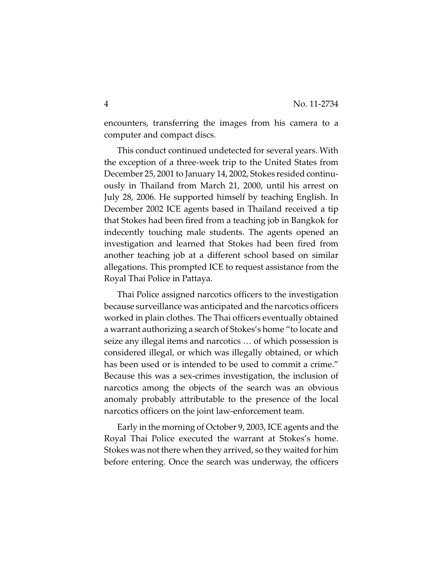encounters, transferring the images from his camera to a computer and compact discs.

This conduct continued undetected for several years. With the exception of a three-week trip to the United States from December 25, 2001 to January 14, 2002, Stokes resided continuously in Thailand from March 21, 2000, until his arrest on July 28, 2006. He supported himself by teaching English. In December 2002 ICE agents based in Thailand received a tip that Stokes had been fired from a teaching job in Bangkok for indecently touching male students. The agents opened an investigation and learned that Stokes had been fired from another teaching job at a different school based on similar allegations. This prompted ICE to request assistance from the Royal Thai Police in Pattaya.

Thai Police assigned narcotics officers to the investigation because surveillance was anticipated and the narcotics officers worked in plain clothes. The Thai officers eventually obtained a warrant authorizing a search of Stokes's home "to locate and seize any illegal items and narcotics … of which possession is considered illegal, or which was illegally obtained, or which has been used or is intended to be used to commit a crime." Because this was a sex-crimes investigation, the inclusion of narcotics among the objects of the search was an obvious anomaly probably attributable to the presence of the local narcotics officers on the joint law-enforcement team.

Early in the morning of October 9, 2003, ICE agents and the Royal Thai Police executed the warrant at Stokes's home. Stokes was not there when they arrived, so they waited for him before entering. Once the search was underway, the officers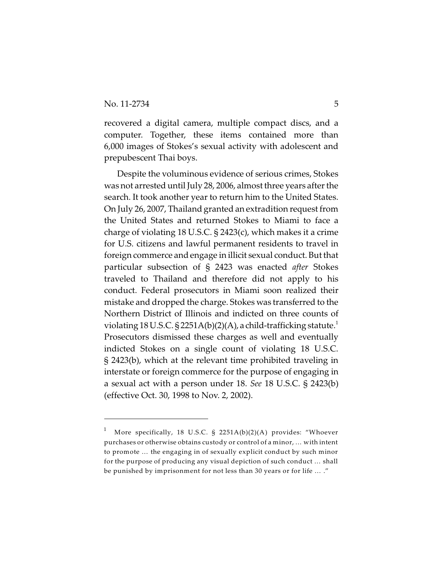recovered a digital camera, multiple compact discs, and a computer. Together, these items contained more than 6,000 images of Stokes's sexual activity with adolescent and prepubescent Thai boys.

Despite the voluminous evidence of serious crimes, Stokes was not arrested until July 28, 2006, almost three years after the search. It took another year to return him to the United States. On July 26, 2007, Thailand granted an extradition request from the United States and returned Stokes to Miami to face a charge of violating 18 U.S.C. § 2423(c), which makes it a crime for U.S. citizens and lawful permanent residents to travel in foreign commerce and engage in illicit sexual conduct. But that particular subsection of § 2423 was enacted *after* Stokes traveled to Thailand and therefore did not apply to his conduct. Federal prosecutors in Miami soon realized their mistake and dropped the charge. Stokes was transferred to the Northern District of Illinois and indicted on three counts of violating 18 U.S.C. § 2251A(b)(2)(A), a child-trafficking statute.<sup>1</sup> Prosecutors dismissed these charges as well and eventually indicted Stokes on a single count of violating 18 U.S.C. § 2423(b), which at the relevant time prohibited traveling in interstate or foreign commerce for the purpose of engaging in a sexual act with a person under 18. *See* 18 U.S.C. § 2423(b) (effective Oct. 30, 1998 to Nov. 2, 2002).

More specifically, 18 U.S.C. § 2251A(b)(2)(A) provides: "Whoever 1 purchases or otherwise obtains custody or control of a minor, … with intent to promote … the engaging in of sexually explicit conduct by such minor for the purpose of producing any visual depiction of such conduct … shall be punished by imprisonment for not less than 30 years or for life … ."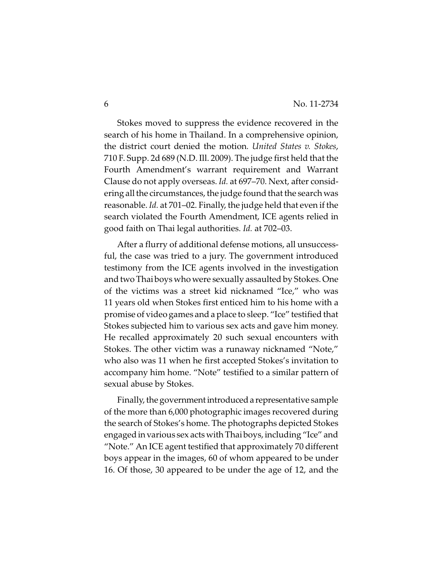Stokes moved to suppress the evidence recovered in the search of his home in Thailand. In a comprehensive opinion, the district court denied the motion*. United States v. Stokes*, 710 F. Supp. 2d 689 (N.D. Ill. 2009). The judge first held that the Fourth Amendment's warrant requirement and Warrant Clause do not apply overseas. *Id.* at 697–70. Next, after considering all the circumstances, the judge found that the search was reasonable. *Id.* at 701–02. Finally, the judge held that even if the search violated the Fourth Amendment, ICE agents relied in good faith on Thai legal authorities. *Id.* at 702–03.

After a flurry of additional defense motions, all unsuccessful, the case was tried to a jury. The government introduced testimony from the ICE agents involved in the investigation and two Thaiboys who were sexually assaulted by Stokes. One of the victims was a street kid nicknamed "Ice," who was 11 years old when Stokes first enticed him to his home with a promise of video games and a place to sleep. "Ice" testified that Stokes subjected him to various sex acts and gave him money. He recalled approximately 20 such sexual encounters with Stokes. The other victim was a runaway nicknamed "Note," who also was 11 when he first accepted Stokes's invitation to accompany him home. "Note" testified to a similar pattern of sexual abuse by Stokes.

Finally, the government introduced a representative sample of the more than 6,000 photographic images recovered during the search of Stokes's home. The photographs depicted Stokes engagedin various sex acts with Thaiboys, including "Ice" and "Note." An ICE agent testified that approximately 70 different boys appear in the images, 60 of whom appeared to be under 16. Of those, 30 appeared to be under the age of 12, and the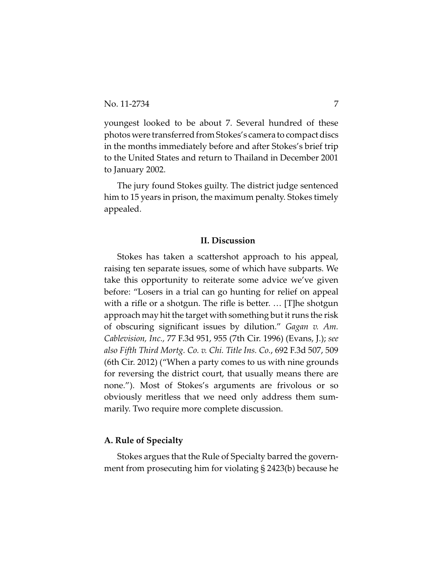youngest looked to be about 7. Several hundred of these photos were transferred from Stokes's camera to compact discs in the months immediately before and after Stokes's brief trip to the United States and return to Thailand in December 2001 to January 2002.

The jury found Stokes guilty. The district judge sentenced him to 15 years in prison, the maximum penalty. Stokes timely appealed.

## **II. Discussion**

Stokes has taken a scattershot approach to his appeal, raising ten separate issues, some of which have subparts. We take this opportunity to reiterate some advice we've given before: "Losers in a trial can go hunting for relief on appeal with a rifle or a shotgun. The rifle is better. … [T]he shotgun approach may hit the target with something but it runs the risk of obscuring significant issues by dilution." *Gagan v. Am. Cablevision, Inc.,* 77 F.3d 951, 955 (7th Cir. 1996) (Evans, J.); *see also Fifth Third Mortg. Co. v. Chi. Title Ins. Co.*, 692 F.3d 507, 509 (6th Cir. 2012) ("When a party comes to us with nine grounds for reversing the district court, that usually means there are none."). Most of Stokes's arguments are frivolous or so obviously meritless that we need only address them summarily. Two require more complete discussion.

## **A. Rule of Specialty**

Stokes argues that the Rule of Specialty barred the government from prosecuting him for violating § 2423(b) because he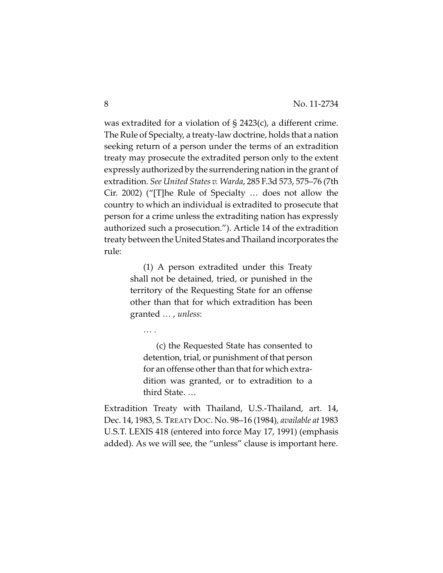was extradited for a violation of § 2423(c), a different crime. The Rule of Specialty, a treaty-law doctrine, holds that a nation seeking return of a person under the terms of an extradition treaty may prosecute the extradited person only to the extent expressly authorized by the surrendering nation in the grant of extradition. *See United States v. Warda*, 285 F.3d 573, 575–76 (7th Cir. 2002) ("[T]he Rule of Specialty … does not allow the country to which an individual is extradited to prosecute that person for a crime unless the extraditing nation has expressly authorized such a prosecution."). Article 14 of the extradition treaty between the United States andThailand incorporates the rule:

> (1) A person extradited under this Treaty shall not be detained, tried, or punished in the territory of the Requesting State for an offense other than that for which extradition has been granted … , *unless*:

… .

(c) the Requested State has consented to detention, trial, or punishment of that person for an offense other than that for which extradition was granted, or to extradition to a third State. …

Extradition Treaty with Thailand, U.S.-Thailand, art. 14, Dec. 14, 1983, S. TREATY DOC. No. 98–16 (1984), *available at* 1983 U.S.T. LEXIS 418 (entered into force May 17, 1991) (emphasis added). As we will see, the "unless" clause is important here.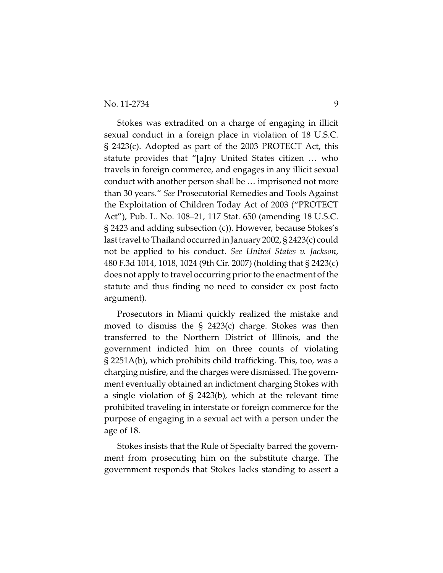Stokes was extradited on a charge of engaging in illicit sexual conduct in a foreign place in violation of 18 U.S.C. § 2423(c). Adopted as part of the 2003 PROTECT Act, this statute provides that "[a]ny United States citizen … who travels in foreign commerce, and engages in any illicit sexual conduct with another person shall be … imprisoned not more than 30 years." *See* Prosecutorial Remedies and Tools Against the Exploitation of Children Today Act of 2003 ("PROTECT Act"), Pub. L. No. 108–21, 117 Stat. 650 (amending 18 U.S.C. § 2423 and adding subsection (c)). However, because Stokes's last travel to Thailand occurred in January 2002, § 2423(c) could not be applied to his conduct*. See United States v. Jackson*, 480 F.3d 1014, 1018, 1024 (9th Cir. 2007) (holding that § 2423(c) does not apply to travel occurring prior to the enactment of the statute and thus finding no need to consider ex post facto argument).

Prosecutors in Miami quickly realized the mistake and moved to dismiss the § 2423(c) charge. Stokes was then transferred to the Northern District of Illinois, and the government indicted him on three counts of violating § 2251A(b), which prohibits child trafficking. This, too, was a charging misfire, and the charges were dismissed. The government eventually obtained an indictment charging Stokes with a single violation of § 2423(b), which at the relevant time prohibited traveling in interstate or foreign commerce for the purpose of engaging in a sexual act with a person under the age of 18.

Stokes insists that the Rule of Specialty barred the government from prosecuting him on the substitute charge. The government responds that Stokes lacks standing to assert a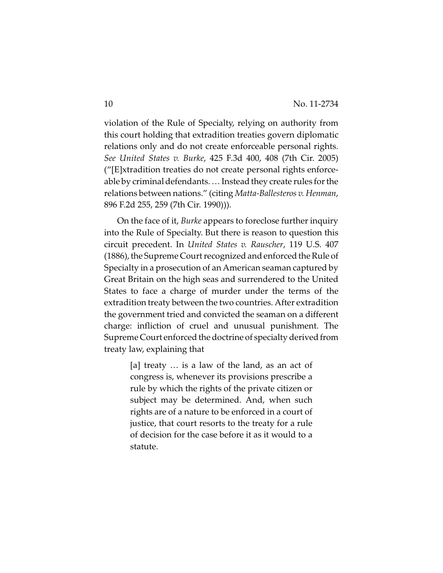violation of the Rule of Specialty, relying on authority from this court holding that extradition treaties govern diplomatic relations only and do not create enforceable personal rights. *See United States v. Burke*, 425 F.3d 400, 408 (7th Cir. 2005) ("[E]xtradition treaties do not create personal rights enforceable by criminal defendants. … Instead they create rules for the relations between nations." (citing *Matta-Ballesteros v. Henman*, 896 F.2d 255, 259 (7th Cir. 1990))).

On the face of it, *Burke* appears to foreclose further inquiry into the Rule of Specialty. But there is reason to question this circuit precedent. In *United States v. Rauscher*, 119 U.S. 407 (1886), the Supreme Court recognized and enforced the Rule of Specialty in a prosecution of an American seaman captured by Great Britain on the high seas and surrendered to the United States to face a charge of murder under the terms of the extradition treaty between the two countries. After extradition the government tried and convicted the seaman on a different charge: infliction of cruel and unusual punishment. The Supreme Court enforced the doctrine of specialty derived from treaty law, explaining that

> [a] treaty … is a law of the land, as an act of congress is, whenever its provisions prescribe a rule by which the rights of the private citizen or subject may be determined. And, when such rights are of a nature to be enforced in a court of justice, that court resorts to the treaty for a rule of decision for the case before it as it would to a statute.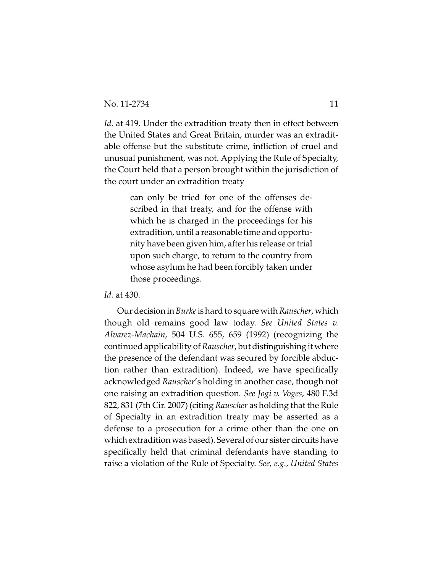*Id.* at 419. Under the extradition treaty then in effect between the United States and Great Britain, murder was an extraditable offense but the substitute crime, infliction of cruel and unusual punishment, was not. Applying the Rule of Specialty, the Court held that a person brought within the jurisdiction of the court under an extradition treaty

> can only be tried for one of the offenses described in that treaty, and for the offense with which he is charged in the proceedings for his extradition, until a reasonable time and opportunity have been given him, after his release or trial upon such charge, to return to the country from whose asylum he had been forcibly taken under those proceedings.

*Id.* at 430.

Our decision in *Burke*is hard to square with *Rauscher*, which though old remains good law today. *See United States v. Alvarez-Machain*, 504 U.S. 655, 659 (1992) (recognizing the continued applicability of *Rauscher*, but distinguishing it where the presence of the defendant was secured by forcible abduction rather than extradition). Indeed, we have specifically acknowledged *Rauscher*'s holding in another case, though not one raising an extradition question*. See Jogi v. Voges*, 480 F.3d 822, 831 (7th Cir. 2007) (citing *Rauscher* as holding that the Rule of Specialty in an extradition treaty may be asserted as a defense to a prosecution for a crime other than the one on whichextradition was based). Several of our sister circuits have specifically held that criminal defendants have standing to raise a violation of the Rule of Specialty. *See, e.g.*, *United States*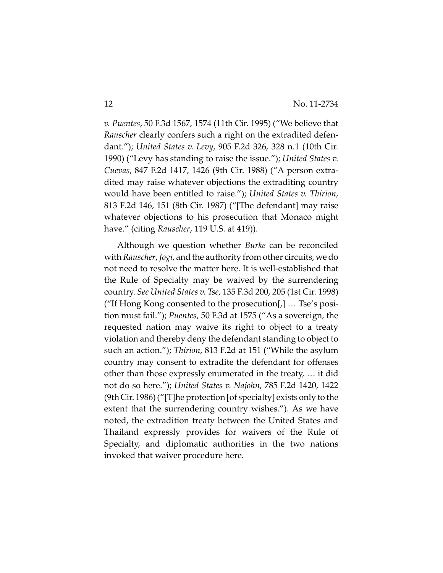*v. Puentes*, 50 F.3d 1567, 1574 (11th Cir. 1995) ("We believe that *Rauscher* clearly confers such a right on the extradited defendant."); *United States v. Levy*, 905 F.2d 326, 328 n.1 (10th Cir. 1990) ("Levy has standing to raise the issue."); *United States v. Cuevas*, 847 F.2d 1417, 1426 (9th Cir. 1988) ("A person extradited may raise whatever objections the extraditing country would have been entitled to raise."); *United States v. Thirion*, 813 F.2d 146, 151 (8th Cir. 1987) ("[The defendant] may raise whatever objections to his prosecution that Monaco might have." (citing *Rauscher*, 119 U.S. at 419)).

Although we question whether *Burke* can be reconciled with *Rauscher*,*Jogi*, and the authority from other circuits, we do not need to resolve the matter here. It is well-established that the Rule of Specialty may be waived by the surrendering country. *See United States v. Tse*, 135 F.3d 200, 205 (1st Cir. 1998) ("If Hong Kong consented to the prosecution[,] … Tse's position must fail."); *Puentes*, 50 F.3d at 1575 ("As a sovereign, the requested nation may waive its right to object to a treaty violation and thereby deny the defendant standing to object to such an action."); *Thirion*, 813 F.2d at 151 ("While the asylum country may consent to extradite the defendant for offenses other than those expressly enumerated in the treaty, … it did not do so here."); *United States v. Najohn*, 785 F.2d 1420, 1422 (9th Cir. 1986) ("[T]he protection [of specialty] exists only to the extent that the surrendering country wishes."). As we have noted, the extradition treaty between the United States and Thailand expressly provides for waivers of the Rule of Specialty, and diplomatic authorities in the two nations invoked that waiver procedure here.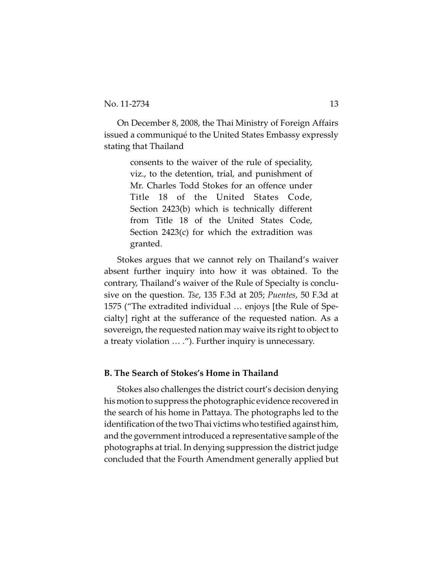On December 8, 2008, the Thai Ministry of Foreign Affairs issued a communiqué to the United States Embassy expressly stating that Thailand

> consents to the waiver of the rule of speciality, viz., to the detention, trial, and punishment of Mr. Charles Todd Stokes for an offence under Title 18 of the United States Code, Section 2423(b) which is technically different from Title 18 of the United States Code, Section 2423(c) for which the extradition was granted.

Stokes argues that we cannot rely on Thailand's waiver absent further inquiry into how it was obtained. To the contrary, Thailand's waiver of the Rule of Specialty is conclusive on the question. *Tse*, 135 F.3d at 205; *Puentes*, 50 F.3d at 1575 ("The extradited individual … enjoys [the Rule of Specialty] right at the sufferance of the requested nation. As a sovereign, the requested nation may waive its right to object to a treaty violation … ."). Further inquiry is unnecessary.

## **B. The Search of Stokes's Home in Thailand**

Stokes also challenges the district court's decision denying his motion to suppress the photographic evidence recovered in the search of his home in Pattaya. The photographs led to the identification of the two Thai victims who testified against him, and the government introduced a representative sample of the photographs at trial. In denying suppression the district judge concluded that the Fourth Amendment generally applied but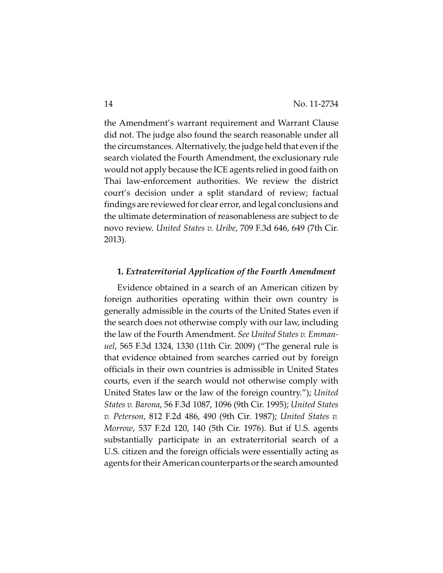the Amendment's warrant requirement and Warrant Clause did not. The judge also found the search reasonable under all the circumstances. Alternatively, the judge held that even if the search violated the Fourth Amendment, the exclusionary rule would not apply because the ICE agents relied in good faith on Thai law-enforcement authorities. We review the district court's decision under a split standard of review; factual findings are reviewed for clear error, and legal conclusions and the ultimate determination of reasonableness are subject to de novo review. *United States v. Uribe*, 709 F.3d 646, 649 (7th Cir. 2013).

## **1***. Extraterritorial Application of the Fourth Amendment*

Evidence obtained in a search of an American citizen by foreign authorities operating within their own country is generally admissible in the courts of the United States even if the search does not otherwise comply with our law, including the law of the Fourth Amendment. *See United States v. Emmanuel*, 565 F.3d 1324, 1330 (11th Cir. 2009) ("The general rule is that evidence obtained from searches carried out by foreign officials in their own countries is admissible in United States courts, even if the search would not otherwise comply with United States law or the law of the foreign country."); *United States v. Barona*, 56 F.3d 1087, 1096 (9th Cir. 1995); *United States v. Peterson*, 812 F.2d 486, 490 (9th Cir. 1987); *United States v. Morrow*, 537 F.2d 120, 140 (5th Cir. 1976). But if U.S. agents substantially participate in an extraterritorial search of a U.S. citizen and the foreign officials were essentially acting as agents for their American counterparts or the search amounted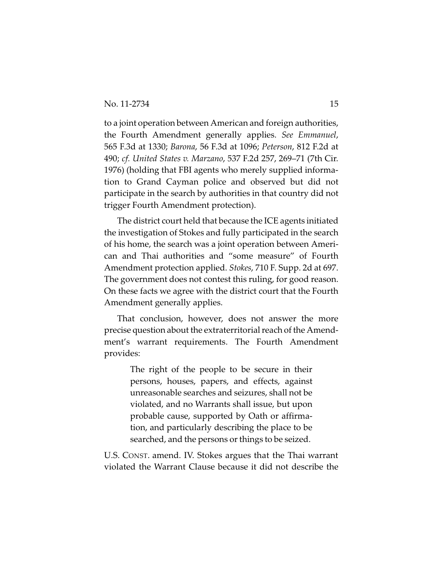to a joint operation between American and foreign authorities, the Fourth Amendment generally applies. *See Emmanuel*, 565 F.3d at 1330; *Barona*, 56 F.3d at 1096; *Peterson*, 812 F.2d at 490; *cf. United States v. Marzano*, 537 F.2d 257, 269–71 (7th Cir. 1976) (holding that FBI agents who merely supplied information to Grand Cayman police and observed but did not participate in the search by authorities in that country did not trigger Fourth Amendment protection).

The district court held that because the ICE agents initiated the investigation of Stokes and fully participated in the search of his home, the search was a joint operation between American and Thai authorities and "some measure" of Fourth Amendment protection applied. *Stokes*, 710 F. Supp. 2d at 697. The government does not contest this ruling, for good reason. On these facts we agree with the district court that the Fourth Amendment generally applies.

That conclusion, however, does not answer the more precise question about the extraterritorial reach of the Amendment's warrant requirements. The Fourth Amendment provides:

> The right of the people to be secure in their persons, houses, papers, and effects, against unreasonable searches and seizures, shall not be violated, and no Warrants shall issue, but upon probable cause, supported by Oath or affirmation, and particularly describing the place to be searched, and the persons or things to be seized.

U.S. CONST. amend. IV. Stokes argues that the Thai warrant violated the Warrant Clause because it did not describe the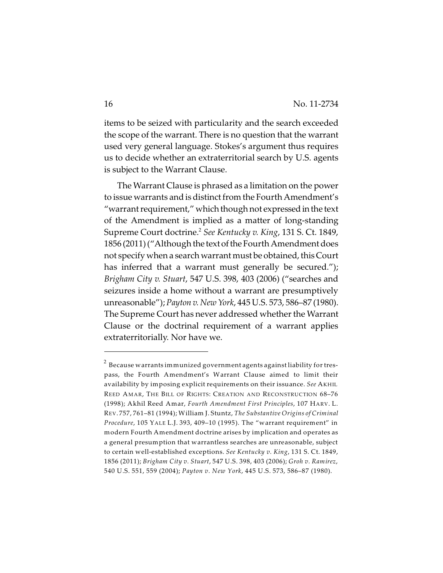items to be seized with particularity and the search exceeded the scope of the warrant. There is no question that the warrant used very general language. Stokes's argument thus requires us to decide whether an extraterritorial search by U.S. agents is subject to the Warrant Clause.

The Warrant Clause is phrased as a limitation on the power to issue warrants and is distinct from the Fourth Amendment's "warrant requirement," which though not expressed in the text of the Amendment is implied as a matter of long-standing Supreme Court doctrine.<sup>2</sup> See Kentucky v. King, 131 S. Ct. 1849, 1856 (2011) ("Although the text of the Fourth Amendment does not specify when a search warrant must be obtained, this Court has inferred that a warrant must generally be secured."); *Brigham City v. Stuart*, 547 U.S. 398, 403 (2006) ("searches and seizures inside a home without a warrant are presumptively unreasonable"); *Payton v. New York*, 445 U.S. 573, 586–87 (1980). The Supreme Court has never addressed whether the Warrant Clause or the doctrinal requirement of a warrant applies extraterritorially. Nor have we.

 $^{\text{2}}$  Because warrants immunized government agents against liability for trespass, the Fourth Amendment's Warrant Clause aimed to limit their availability by imposing explicit requirements on their issuance. *See* AKHIL REED AMAR, THE BILL OF RIGHTS: CREATION AND RECONSTRUCTION 68–76 (1998); Akhil Reed Amar, *Fourth Amendment First Principles*, 107 HARV. L. REV. 757, 761–81 (1994); William J. Stuntz, *The Substantive Origins of Criminal Procedure*, 105 YALE L.J. 393, 409–10 (1995). The "warrant requirement" in modern Fourth Amendment doctrine arises by implication and operates as a general presumption that warrantless searches are unreasonable, subject to certain well-established exceptions. *See Kentucky v. King*, 131 S. Ct. 1849, 1856 (2011); *Brigham City v. Stuart*, 547 U.S. 398, 403 (2006); *Groh v. Ramirez*, 540 U.S. 551, 559 (2004); *Payton v. New York*, 445 U.S. 573, 586–87 (1980).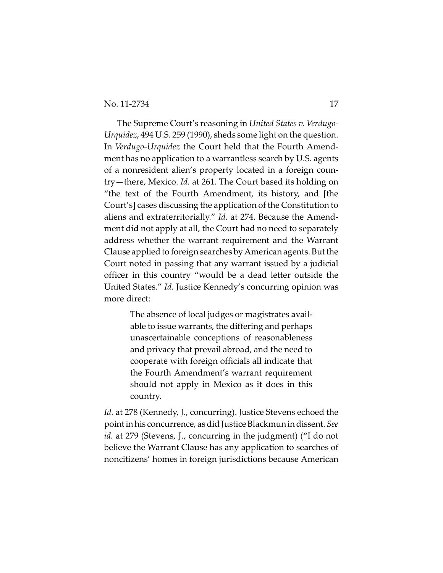The Supreme Court's reasoning in *United States v. Verdugo-Urquidez*, 494 U.S. 259 (1990), sheds some light on the question. In *Verdugo-Urquidez* the Court held that the Fourth Amendment has no application to a warrantless search by U.S. agents of a nonresident alien's property located in a foreign country—there, Mexico. *Id.* at 261. The Court based its holding on "the text of the Fourth Amendment, its history, and [the Court's] cases discussing the application of the Constitution to aliens and extraterritorially." *Id.* at 274. Because the Amendment did not apply at all, the Court had no need to separately address whether the warrant requirement and the Warrant Clause applied to foreign searches by American agents. But the Court noted in passing that any warrant issued by a judicial officer in this country "would be a dead letter outside the United States." *Id*. Justice Kennedy's concurring opinion was more direct:

> The absence of local judges or magistrates available to issue warrants, the differing and perhaps unascertainable conceptions of reasonableness and privacy that prevail abroad, and the need to cooperate with foreign officials all indicate that the Fourth Amendment's warrant requirement should not apply in Mexico as it does in this country.

*Id.* at 278 (Kennedy, J., concurring). Justice Stevens echoed the point in his concurrence, as did Justice Blackmunin dissent. *See id.* at 279 (Stevens, J., concurring in the judgment) ("I do not believe the Warrant Clause has any application to searches of noncitizens' homes in foreign jurisdictions because American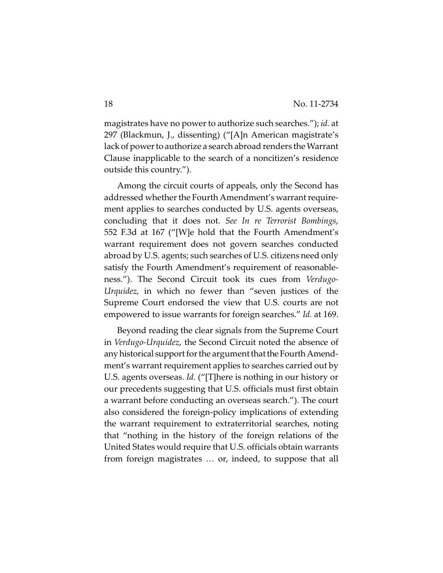magistrates have no power to authorize such searches."); *id.* at 297 (Blackmun, J., dissenting) ("[A]n American magistrate's lack of power to authorize a search abroad renders the Warrant Clause inapplicable to the search of a noncitizen's residence outside this country.").

Among the circuit courts of appeals, only the Second has addressed whether the Fourth Amendment's warrant requirement applies to searches conducted by U.S. agents overseas, concluding that it does not. *See In re Terrorist Bombings*, 552 F.3d at 167 ("[W]e hold that the Fourth Amendment's warrant requirement does not govern searches conducted abroad by U.S. agents; such searches of U.S. citizens need only satisfy the Fourth Amendment's requirement of reasonableness."). The Second Circuit took its cues from *Verdugo-Urquidez,* in which no fewer than "seven justices of the Supreme Court endorsed the view that U.S. courts are not empowered to issue warrants for foreign searches." *Id.* at 169.

Beyond reading the clear signals from the Supreme Court in *Verdugo-Urquidez*, the Second Circuit noted the absence of any historical support for the argument that the Fourth Amendment's warrant requirement applies to searches carried out by U.S. agents overseas. *Id.* ("[T]here is nothing in our history or our precedents suggesting that U.S. officials must first obtain a warrant before conducting an overseas search."). The court also considered the foreign-policy implications of extending the warrant requirement to extraterritorial searches, noting that "nothing in the history of the foreign relations of the United States would require that U.S. officials obtain warrants from foreign magistrates … or, indeed, to suppose that all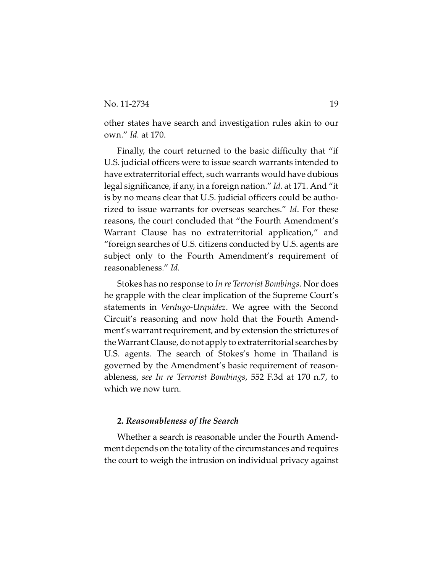other states have search and investigation rules akin to our own." *Id.* at 170.

Finally, the court returned to the basic difficulty that "if U.S. judicial officers were to issue search warrants intended to have extraterritorial effect, such warrants would have dubious legal significance, if any, in a foreign nation." *Id.* at 171. And "it is by no means clear that U.S. judicial officers could be authorized to issue warrants for overseas searches." *Id*. For these reasons, the court concluded that "the Fourth Amendment's Warrant Clause has no extraterritorial application," and "foreign searches of U.S. citizens conducted by U.S. agents are subject only to the Fourth Amendment's requirement of reasonableness." *Id.*

Stokes has no response to *In re Terrorist Bombings*. Nor does he grapple with the clear implication of the Supreme Court's statements in *Verdugo-Urquidez*. We agree with the Second Circuit's reasoning and now hold that the Fourth Amendment's warrant requirement, and by extension the strictures of the Warrant Clause, do not apply to extraterritorial searches by U.S. agents. The search of Stokes's home in Thailand is governed by the Amendment's basic requirement of reasonableness, *see In re Terrorist Bombings*, 552 F.3d at 170 n.7, to which we now turn.

## **2.** *Reasonableness of the Search*

Whether a search is reasonable under the Fourth Amendment depends on the totality of the circumstances and requires the court to weigh the intrusion on individual privacy against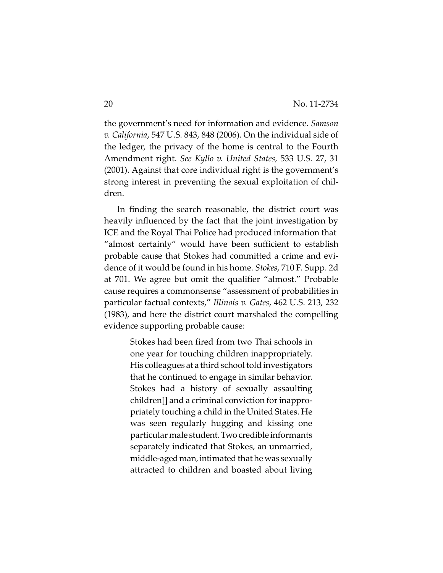the government's need for information and evidence. *Samson v. California*, 547 U.S. 843, 848 (2006). On the individual side of the ledger, the privacy of the home is central to the Fourth Amendment right. *See Kyllo v. United States*, 533 U.S. 27, 31 (2001). Against that core individual right is the government's strong interest in preventing the sexual exploitation of children.

In finding the search reasonable, the district court was heavily influenced by the fact that the joint investigation by ICE and the Royal Thai Police had produced information that "almost certainly" would have been sufficient to establish probable cause that Stokes had committed a crime and evidence of it would be found in his home. *Stokes*, 710 F. Supp. 2d at 701. We agree but omit the qualifier "almost." Probable cause requires a commonsense "assessment of probabilities in particular factual contexts," *Illinois v. Gates*, 462 U.S. 213, 232 (1983), and here the district court marshaled the compelling evidence supporting probable cause:

> Stokes had been fired from two Thai schools in one year for touching children inappropriately. His colleagues at a third school told investigators that he continued to engage in similar behavior. Stokes had a history of sexually assaulting children[] and a criminal conviction for inappropriately touching a child in the United States. He was seen regularly hugging and kissing one particular male student.Two credible informants separately indicated that Stokes, an unmarried, middle-aged man, intimated that he was sexually attracted to children and boasted about living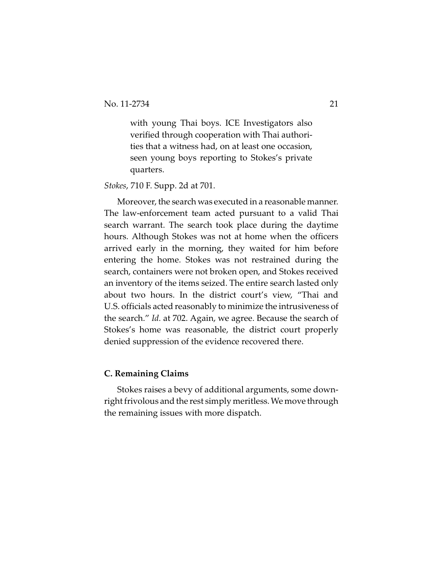with young Thai boys. ICE Investigators also verified through cooperation with Thai authorities that a witness had, on at least one occasion, seen young boys reporting to Stokes's private quarters.

*Stokes*, 710 F. Supp. 2d at 701.

Moreover, the search was executed in a reasonable manner. The law-enforcement team acted pursuant to a valid Thai search warrant. The search took place during the daytime hours. Although Stokes was not at home when the officers arrived early in the morning, they waited for him before entering the home. Stokes was not restrained during the search, containers were not broken open, and Stokes received an inventory of the items seized. The entire search lasted only about two hours. In the district court's view, "Thai and U.S. officials acted reasonably to minimize the intrusiveness of the search." *Id.* at 702. Again, we agree. Because the search of Stokes's home was reasonable, the district court properly denied suppression of the evidence recovered there.

## **C. Remaining Claims**

Stokes raises a bevy of additional arguments, some downright frivolous and the rest simply meritless. We move through the remaining issues with more dispatch.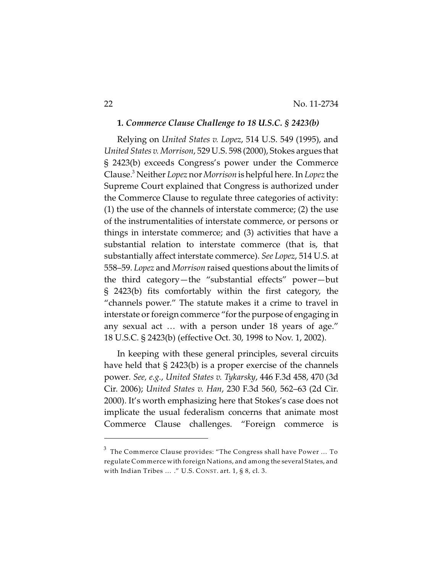## **1***. Commerce Clause Challenge to 18 U.S.C. § 2423(b)*

Relying on *United States v. Lopez*, 514 U.S. 549 (1995), and *United States v. Morrison*, 529 U.S. 598 (2000), Stokes argues that § 2423(b) exceeds Congress's power under the Commerce Clause. Neither *Lopez* nor *Morrison* is helpful here. In *Lopez* the <sup>3</sup> Supreme Court explained that Congress is authorized under the Commerce Clause to regulate three categories of activity: (1) the use of the channels of interstate commerce; (2) the use of the instrumentalities of interstate commerce, or persons or things in interstate commerce; and (3) activities that have a substantial relation to interstate commerce (that is, that substantially affect interstate commerce). *See Lopez*, 514 U.S. at 558–59. *Lopez* and *Morrison* raised questions about the limits of the third category—the "substantial effects" power—but § 2423(b) fits comfortably within the first category, the "channels power." The statute makes it a crime to travel in interstate or foreign commerce "for the purpose of engaging in any sexual act … with a person under 18 years of age." 18 U.S.C. § 2423(b) (effective Oct. 30, 1998 to Nov. 1, 2002).

In keeping with these general principles, several circuits have held that § 2423(b) is a proper exercise of the channels power*. See, e.g.*, *United States v. Tykarsky*, 446 F.3d 458, 470 (3d Cir. 2006); *United States v. Han*, 230 F.3d 560, 562–63 (2d Cir. 2000). It's worth emphasizing here that Stokes's case does not implicate the usual federalism concerns that animate most Commerce Clause challenges. "Foreign commerce is

 $^3$  The Commerce Clause provides: "The Congress shall have Power  $\ldots$  To regulate Commerce with foreign Nations, and among the several States, and with Indian Tribes … ." U.S. CONST. art. 1, § 8, cl. 3.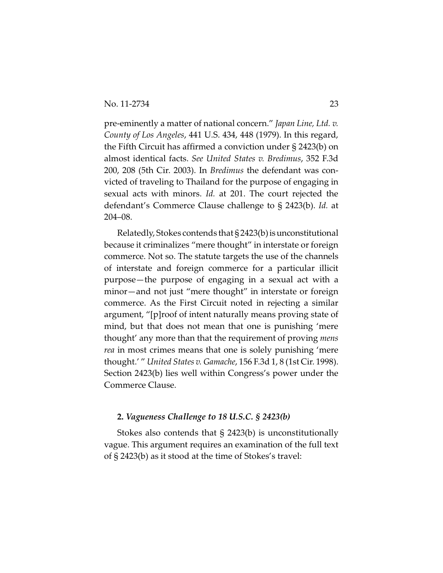pre-eminently a matter of national concern." *Japan Line, Ltd. v. County of Los Angeles*, 441 U.S. 434, 448 (1979). In this regard, the Fifth Circuit has affirmed a conviction under § 2423(b) on almost identical facts. *See United States v. Bredimus*, 352 F.3d 200, 208 (5th Cir. 2003). In *Bredimus* the defendant was convicted of traveling to Thailand for the purpose of engaging in sexual acts with minors. *Id.* at 201. The court rejected the defendant's Commerce Clause challenge to § 2423(b). *Id.* at 204–08.

Relatedly, Stokes contends that  $\S 2423(b)$  is unconstitutional because it criminalizes "mere thought" in interstate or foreign commerce. Not so. The statute targets the use of the channels of interstate and foreign commerce for a particular illicit purpose—the purpose of engaging in a sexual act with a minor—and not just "mere thought" in interstate or foreign commerce. As the First Circuit noted in rejecting a similar argument, "[p]roof of intent naturally means proving state of mind, but that does not mean that one is punishing 'mere thought' any more than that the requirement of proving *mens rea* in most crimes means that one is solely punishing 'mere thought.' " *United States v. Gamache*, 156 F.3d 1, 8 (1st Cir. 1998). Section 2423(b) lies well within Congress's power under the Commerce Clause.

## **2.** *Vagueness Challenge to 18 U.S.C. § 2423(b)*

Stokes also contends that § 2423(b) is unconstitutionally vague. This argument requires an examination of the full text of § 2423(b) as it stood at the time of Stokes's travel: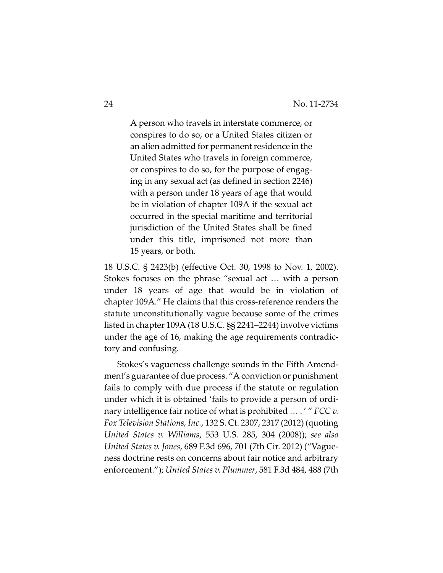A person who travels in interstate commerce, or conspires to do so, or a United States citizen or an alien admitted for permanent residence in the United States who travels in foreign commerce, or conspires to do so, for the purpose of engaging in any sexual act (as defined in section 2246) with a person under 18 years of age that would be in violation of chapter 109A if the sexual act occurred in the special maritime and territorial jurisdiction of the United States shall be fined under this title, imprisoned not more than 15 years, or both.

18 U.S.C. § 2423(b) (effective Oct. 30, 1998 to Nov. 1, 2002). Stokes focuses on the phrase "sexual act … with a person under 18 years of age that would be in violation of chapter 109A." He claims that this cross-reference renders the statute unconstitutionally vague because some of the crimes listed in chapter 109A (18 U.S.C. §§ 2241–2244) involve victims under the age of 16, making the age requirements contradictory and confusing.

Stokes's vagueness challenge sounds in the Fifth Amendment's guarantee of due process. "A conviction or punishment fails to comply with due process if the statute or regulation under which it is obtained 'fails to provide a person of ordinary intelligence fair notice of what is prohibited … . ' " *FCC v. Fox Television Stations, Inc.*, 132 S. Ct. 2307, 2317 (2012) (quoting *United States v. Williams*, 553 U.S. 285, 304 (2008)); *see also United States v. Jones*, 689 F.3d 696, 701 (7th Cir. 2012) ("Vagueness doctrine rests on concerns about fair notice and arbitrary enforcement."); *United States v. Plummer*, 581 F.3d 484, 488 (7th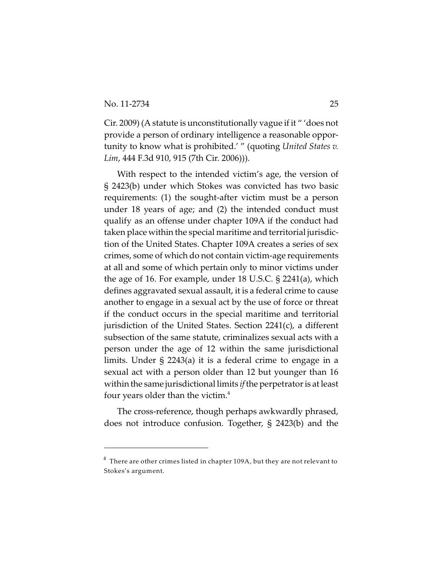Cir. 2009) (A statute is unconstitutionally vague if it " 'does not provide a person of ordinary intelligence a reasonable opportunity to know what is prohibited.' " (quoting *United States v. Lim*, 444 F.3d 910, 915 (7th Cir. 2006))).

With respect to the intended victim's age, the version of § 2423(b) under which Stokes was convicted has two basic requirements: (1) the sought-after victim must be a person under 18 years of age; and (2) the intended conduct must qualify as an offense under chapter 109A if the conduct had taken place within the special maritime and territorial jurisdiction of the United States. Chapter 109A creates a series of sex crimes, some of which do not contain victim-age requirements at all and some of which pertain only to minor victims under the age of 16. For example, under 18 U.S.C. § 2241(a), which defines aggravated sexual assault, it is a federal crime to cause another to engage in a sexual act by the use of force or threat if the conduct occurs in the special maritime and territorial jurisdiction of the United States. Section 2241(c), a different subsection of the same statute, criminalizes sexual acts with a person under the age of 12 within the same jurisdictional limits. Under § 2243(a) it is a federal crime to engage in a sexual act with a person older than 12 but younger than 16 within the same jurisdictional limits *if* the perpetrator is at least four years older than the victim. $4$ 

The cross-reference, though perhaps awkwardly phrased, does not introduce confusion. Together, § 2423(b) and the

 $^4\,$  There are other crimes listed in chapter 109A, but they are not relevant to Stokes's argument.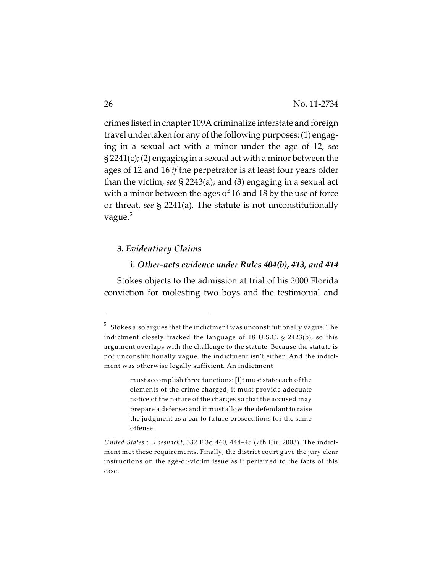crimes listed in chapter 109A criminalize interstate and foreign travel undertaken for any of the following purposes: (1) engaging in a sexual act with a minor under the age of 12, *see* § 2241(c); (2) engaging in a sexual act with a minor between the ages of 12 and 16 *if* the perpetrator is at least four years older than the victim, *see* § 2243(a); and (3) engaging in a sexual act with a minor between the ages of 16 and 18 by the use of force or threat, *see* § 2241(a). The statute is not unconstitutionally vague.<sup>5</sup>

## **3.** *Evidentiary Claims*

## **i***. Other-acts evidence under Rules 404(b), 413, and 414*

Stokes objects to the admission at trial of his 2000 Florida conviction for molesting two boys and the testimonial and

 $^5$  Stokes also argues that the indictment was unconstitutionally vague. The indictment closely tracked the language of 18 U.S.C. § 2423(b), so this argument overlaps with the challenge to the statute. Because the statute is not unconstitutionally vague, the indictment isn't either. And the indictment was otherwise legally sufficient. An indictment

must accomplish three functions: [I]t must state each of the elements of the crime charged; it must provide adequate notice of the nature of the charges so that the accused may prepare a defense; and it must allow the defendant to raise the judgment as a bar to future prosecutions for the same offense.

*United States v. Fassnacht*, 332 F.3d 440, 444–45 (7th Cir. 2003). The indictment met these requirements. Finally, the district court gave the jury clear instructions on the age-of-victim issue as it pertained to the facts of this case.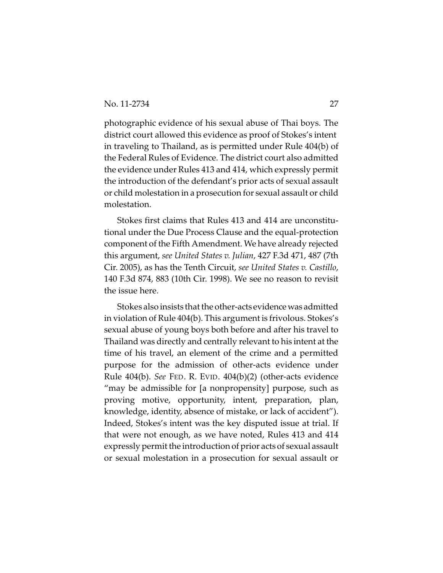photographic evidence of his sexual abuse of Thai boys. The district court allowed this evidence as proof of Stokes's intent in traveling to Thailand, as is permitted under Rule 404(b) of the Federal Rules of Evidence. The district court also admitted the evidence under Rules 413 and 414, which expressly permit the introduction of the defendant's prior acts of sexual assault or child molestation in a prosecution for sexual assault or child molestation.

Stokes first claims that Rules 413 and 414 are unconstitutional under the Due Process Clause and the equal-protection component of the Fifth Amendment. We have already rejected this argument, *see United States v. Julian*, 427 F.3d 471, 487 (7th Cir. 2005), as has the Tenth Circuit, *see United States v. Castillo*, 140 F.3d 874, 883 (10th Cir. 1998). We see no reason to revisit the issue here.

Stokes also insists that the other-acts evidence was admitted in violation of Rule 404(b). This argument is frivolous. Stokes's sexual abuse of young boys both before and after his travel to Thailand was directly and centrally relevant to his intent at the time of his travel, an element of the crime and a permitted purpose for the admission of other-acts evidence under Rule 404(b). *See* FED. R. EVID. 404(b)(2) (other-acts evidence "may be admissible for [a nonpropensity] purpose, such as proving motive, opportunity, intent, preparation, plan, knowledge, identity, absence of mistake, or lack of accident"). Indeed, Stokes's intent was the key disputed issue at trial. If that were not enough, as we have noted, Rules 413 and 414 expressly permit the introduction of prior acts of sexual assault or sexual molestation in a prosecution for sexual assault or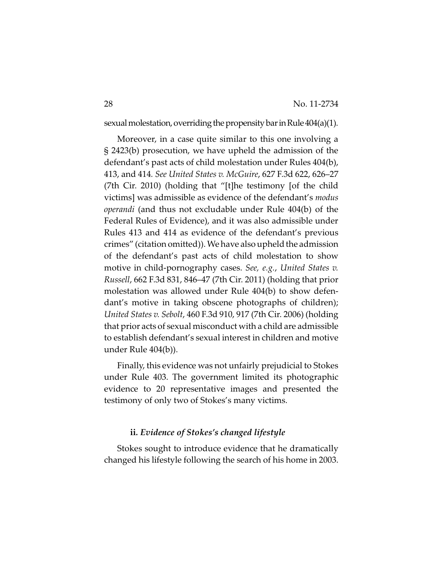sexual molestation, overriding the propensity bar in Rule  $404(a)(1)$ .

Moreover, in a case quite similar to this one involving a § 2423(b) prosecution, we have upheld the admission of the defendant's past acts of child molestation under Rules 404(b), 413, and 414*. See United States v. McGuire*, 627 F.3d 622, 626–27 (7th Cir. 2010) (holding that "[t]he testimony [of the child victims] was admissible as evidence of the defendant's *modus operandi* (and thus not excludable under Rule 404(b) of the Federal Rules of Evidence), and it was also admissible under Rules 413 and 414 as evidence of the defendant's previous crimes" (citation omitted)). We have also upheld the admission of the defendant's past acts of child molestation to show motive in child-pornography cases. *See, e.g.*, *United States v. Russell*, 662 F.3d 831, 846–47 (7th Cir. 2011) (holding that prior molestation was allowed under Rule 404(b) to show defendant's motive in taking obscene photographs of children); *United States v. Sebolt*, 460 F.3d 910, 917 (7th Cir. 2006) (holding that prior acts of sexual misconduct with a child are admissible to establish defendant's sexual interest in children and motive under Rule 404(b)).

Finally, this evidence was not unfairly prejudicial to Stokes under Rule 403. The government limited its photographic evidence to 20 representative images and presented the testimony of only two of Stokes's many victims.

## **ii***. Evidence of Stokes's changed lifestyle*

Stokes sought to introduce evidence that he dramatically changed his lifestyle following the search of his home in 2003.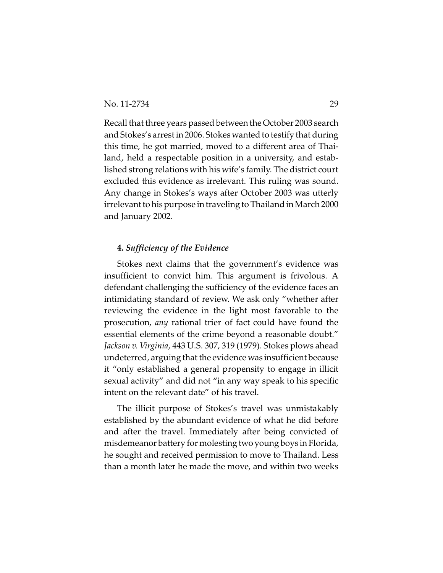Recall that three years passed between the October 2003 search and Stokes's arrest in 2006. Stokes wanted to testify that during this time, he got married, moved to a different area of Thailand, held a respectable position in a university, and established strong relations with his wife's family. The district court excluded this evidence as irrelevant. This ruling was sound. Any change in Stokes's ways after October 2003 was utterly irrelevant to his purpose in traveling to Thailand in March 2000 and January 2002.

## **4.** *Sufficiency of the Evidence*

Stokes next claims that the government's evidence was insufficient to convict him. This argument is frivolous. A defendant challenging the sufficiency of the evidence faces an intimidating standard of review. We ask only "whether after reviewing the evidence in the light most favorable to the prosecution, *any* rational trier of fact could have found the essential elements of the crime beyond a reasonable doubt." *Jackson v. Virginia*, 443 U.S. 307, 319 (1979). Stokes plows ahead undeterred, arguing that the evidence was insufficient because it "only established a general propensity to engage in illicit sexual activity" and did not "in any way speak to his specific intent on the relevant date" of his travel.

The illicit purpose of Stokes's travel was unmistakably established by the abundant evidence of what he did before and after the travel. Immediately after being convicted of misdemeanor battery for molesting two young boys in Florida, he sought and received permission to move to Thailand. Less than a month later he made the move, and within two weeks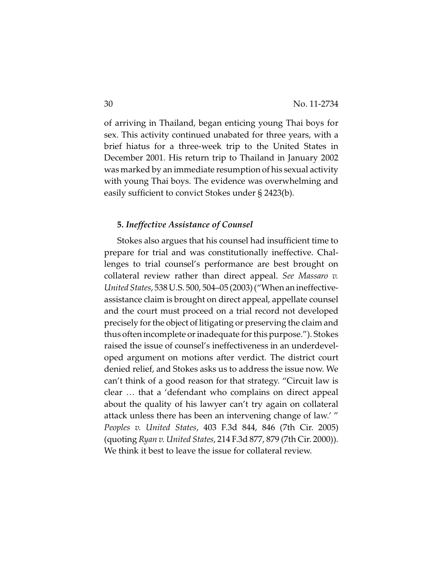of arriving in Thailand, began enticing young Thai boys for sex. This activity continued unabated for three years, with a brief hiatus for a three-week trip to the United States in December 2001. His return trip to Thailand in January 2002 was marked by an immediate resumption of his sexual activity with young Thai boys. The evidence was overwhelming and easily sufficient to convict Stokes under § 2423(b).

## **5.** *Ineffective Assistance of Counsel*

Stokes also argues that his counsel had insufficient time to prepare for trial and was constitutionally ineffective. Challenges to trial counsel's performance are best brought on collateral review rather than direct appeal. *See Massaro v. United States*, 538 U.S. 500, 504–05 (2003) ("When an ineffectiveassistance claim is brought on direct appeal, appellate counsel and the court must proceed on a trial record not developed precisely for the object of litigating or preserving the claim and thus often incomplete or inadequate for this purpose."). Stokes raised the issue of counsel's ineffectiveness in an underdeveloped argument on motions after verdict. The district court denied relief, and Stokes asks us to address the issue now. We can't think of a good reason for that strategy. "Circuit law is clear … that a 'defendant who complains on direct appeal about the quality of his lawyer can't try again on collateral attack unless there has been an intervening change of law.' " *Peoples v. United States*, 403 F.3d 844, 846 (7th Cir. 2005) (quoting *Ryan v. United States*, 214 F.3d 877, 879 (7th Cir. 2000)). We think it best to leave the issue for collateral review.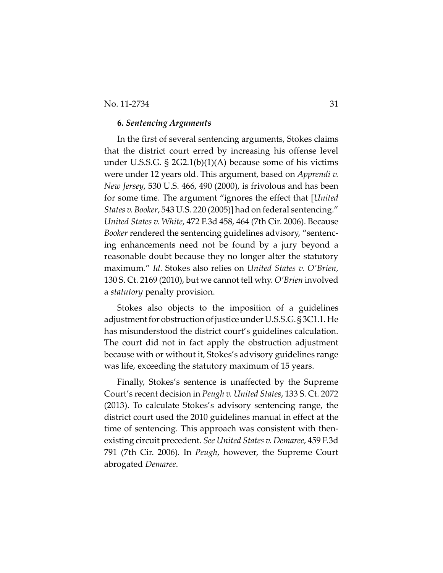## No. 11-2734 31

## **6.** *Sentencing Arguments*

In the first of several sentencing arguments, Stokes claims that the district court erred by increasing his offense level under U.S.S.G.  $\S$  2G2.1(b)(1)(A) because some of his victims were under 12 years old. This argument, based on *Apprendi v. New Jersey*, 530 U.S. 466, 490 (2000), is frivolous and has been for some time. The argument "ignores the effect that [*United States v. Booker*, 543 U.S. 220 (2005)] had on federal sentencing." *United States v. White*, 472 F.3d 458, 464 (7th Cir. 2006). Because *Booker* rendered the sentencing guidelines advisory, "sentencing enhancements need not be found by a jury beyond a reasonable doubt because they no longer alter the statutory maximum." *Id*. Stokes also relies on *United States v. O'Brien*, 130 S. Ct. 2169 (2010), but we cannot tell why. *O'Brien* involved a *statutory* penalty provision.

Stokes also objects to the imposition of a guidelines adjustment for obstruction of justice under U.S.S.G. § 3C1.1. He has misunderstood the district court's guidelines calculation. The court did not in fact apply the obstruction adjustment because with or without it, Stokes's advisory guidelines range was life, exceeding the statutory maximum of 15 years.

Finally, Stokes's sentence is unaffected by the Supreme Court's recent decision in *Peugh v. United States*, 133 S. Ct. 2072 (2013). To calculate Stokes's advisory sentencing range, the district court used the 2010 guidelines manual in effect at the time of sentencing. This approach was consistent with thenexisting circuit precedent*. See United States v. Demaree*, 459 F.3d 791 (7th Cir. 2006)*.* In *Peugh*, however, the Supreme Court abrogated *Demaree*.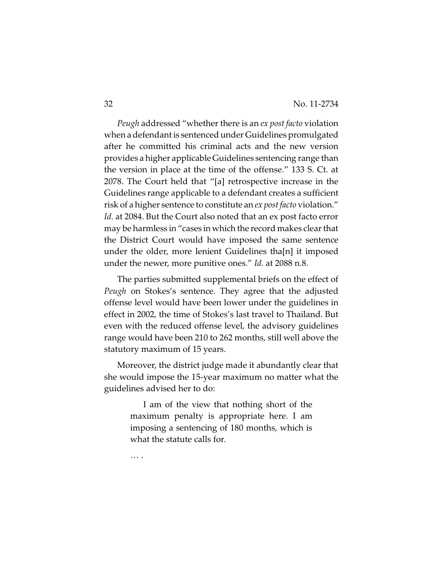*Peugh* addressed "whether there is an *ex post facto* violation when a defendant is sentenced under Guidelines promulgated after he committed his criminal acts and the new version provides a higher applicable Guidelines sentencing range than the version in place at the time of the offense." 133 S. Ct. at 2078. The Court held that "[a] retrospective increase in the Guidelines range applicable to a defendant creates a sufficient risk of a higher sentence to constitute an *ex post facto* violation." Id. at 2084. But the Court also noted that an ex post facto error may be harmless in "cases in which the record makes clear that the District Court would have imposed the same sentence under the older, more lenient Guidelines tha[n] it imposed under the newer, more punitive ones." *Id.* at 2088 n.8.

The parties submitted supplemental briefs on the effect of *Peugh* on Stokes's sentence. They agree that the adjusted offense level would have been lower under the guidelines in effect in 2002, the time of Stokes's last travel to Thailand. But even with the reduced offense level, the advisory guidelines range would have been 210 to 262 months, still well above the statutory maximum of 15 years.

Moreover, the district judge made it abundantly clear that she would impose the 15-year maximum no matter what the guidelines advised her to do:

> I am of the view that nothing short of the maximum penalty is appropriate here. I am imposing a sentencing of 180 months, which is what the statute calls for.

… .